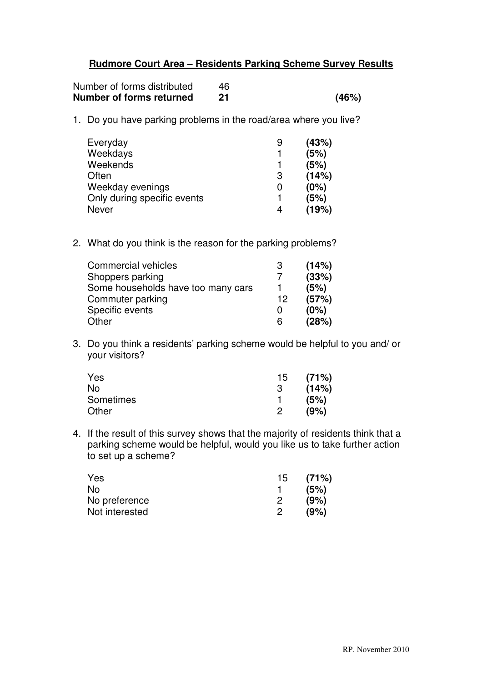## **Rudmore Court Area – Residents Parking Scheme Survey Results**

| Number of forms distributed | 46 |       |
|-----------------------------|----|-------|
| Number of forms returned    | 21 | (46%) |

1. Do you have parking problems in the road/area where you live?

| Everyday                    | 9 | (43%) |
|-----------------------------|---|-------|
| Weekdays                    |   | (5%)  |
| Weekends                    |   | (5%)  |
| Often                       | 3 | (14%) |
| Weekday evenings            | O | (0%)  |
| Only during specific events |   | (5%)  |
| <b>Never</b>                | 4 | (19%) |

2. What do you think is the reason for the parking problems?

| Commercial vehicles                | -3 | (14%) |
|------------------------------------|----|-------|
| Shoppers parking                   |    | (33%) |
| Some households have too many cars |    | (5%)  |
| Commuter parking                   | 12 | (57%) |
| Specific events                    | 0  | (0%)  |
| Other                              | 6  | (28%) |

3. Do you think a residents' parking scheme would be helpful to you and/ or your visitors?

| Yes       |   | 15(71%) |
|-----------|---|---------|
| No        | 3 | (14%)   |
| Sometimes |   | (5%)    |
| Other     |   | (9%)    |

4. If the result of this survey shows that the majority of residents think that a parking scheme would be helpful, would you like us to take further action to set up a scheme?

| Yes            | 15. | (71%) |
|----------------|-----|-------|
| No.            |     | (5%)  |
| No preference  |     | (9%)  |
| Not interested |     | (9%)  |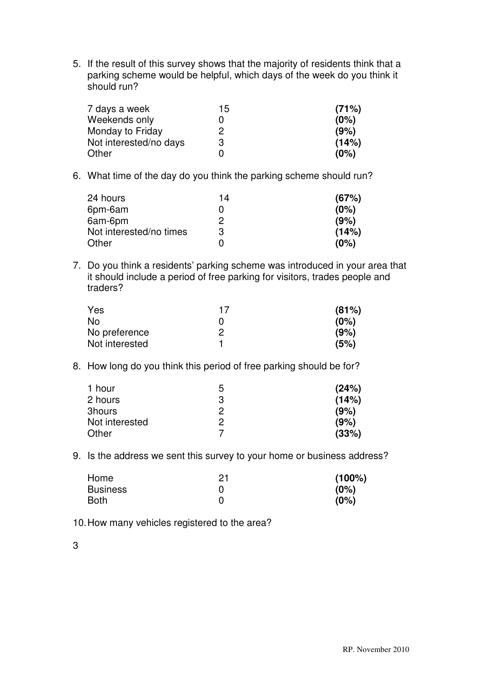5. If the result of this survey shows that the majority of residents think that a parking scheme would be helpful, which days of the week do you think it should run?

| 7 days a week          | 15 | (71%) |
|------------------------|----|-------|
| Weekends only          |    | (0%)  |
| Monday to Friday       | ヮ  | (9%)  |
| Not interested/no days | 3  | (14%) |
| Other                  |    | (0%)  |

6. What time of the day do you think the parking scheme should run?

| 24 hours                | 14 | (67%) |
|-------------------------|----|-------|
| 6pm-6am                 | 0  | (0%)  |
| 6am-6pm                 | 2  | (9%)  |
| Not interested/no times | 3  | (14%) |
| Other                   | 0  | (0%)  |

7. Do you think a residents' parking scheme was introduced in your area that it should include a period of free parking for visitors, trades people and traders?

| Yes            | 17 | (81%) |
|----------------|----|-------|
| No.            |    | (0%)  |
| No preference  | כי | (9%)  |
| Not interested |    | (5%)  |

8. How long do you think this period of free parking should be for?

| 1 hour         | ხ | (24%) |
|----------------|---|-------|
| 2 hours        | З | (14%) |
| 3hours         | 2 | (9%)  |
| Not interested |   | (9%)  |
| Other          |   | (33%) |

9. Is the address we sent this survey to your home or business address?

| Home            | 21 | $(100\%)$ |
|-----------------|----|-----------|
| <b>Business</b> |    | (0%)      |
| <b>Both</b>     |    | (0%)      |

10. How many vehicles registered to the area?

3